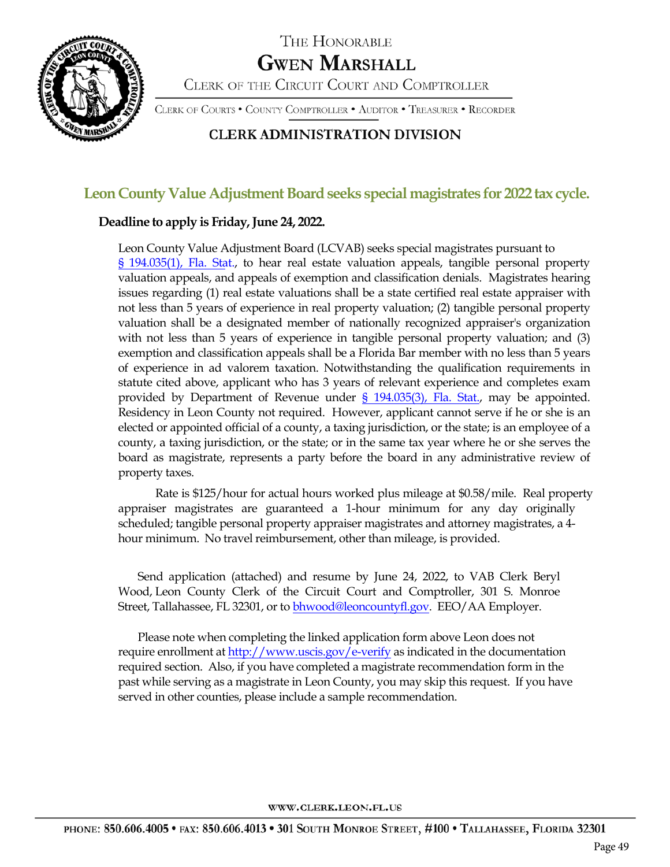

# THE HONORABLE **GWEN MARSHALL**

CLERK OF THE CIRCUIT COURT AND COMPTROLLER

CLERK OF COURTS . COUNTY COMPTROLLER . AUDITOR . TREASURER . RECORDER

## **CLERK ADMINISTRATION DIVISION**

## Leon County Value Adjustment Board seeks special magistrates for 2022 tax cycle.

### **Deadline to apply is Friday, June 24, 2022.**

Leon County Value Adjustment Board (LCVAB) seeks special magistrates pursuant to § 194.035(1), Fla. Stat., to hear real estate valuation appeals, tangible personal property valuation appeals, and appeals of exemption and classification denials. Magistrates hearing issues regarding (1) real estate valuations shall be a state certified real estate appraiser with not less than 5 years of experience in real property valuation; (2) tangible personal property valuation shall be a designated member of nationally recognized appraiser's organization with not less than 5 years of experience in tangible personal property valuation; and (3) exemption and classification appeals shall be a Florida Bar member with no less than 5 years of experience in ad valorem taxation. Notwithstanding the qualification requirements in statute cited above, applicant who has 3 years of relevant experience and completes exam provided by Department of Revenue under § 194.035(3), Fla. Stat., may be appointed. Residency in Leon County not required. However, applicant cannot serve if he or she is an elected or appointed official of a county, a taxing jurisdiction, or the state; is an employee of a county, a taxing jurisdiction, or the state; or in the same tax year where he or she serves the board as magistrate, represents a party before the board in any administrative review of property taxes.

Rate is \$125/hour for actual hours worked plus mileage at \$0.58/mile. Real property appraiser magistrates are guaranteed a 1-hour minimum for any day originally scheduled; tangible personal property appraiser magistrates and attorney magistrates, a 4 hour minimum. No travel reimbursement, other than mileage, is provided.

Send application (attached) and resume by June 24, 2022, to VAB Clerk Beryl Wood, Leon County Clerk of the Circuit Court and Comptroller, 301 S. Monroe Street, Tallahassee, FL 32301, or to bhwood@leoncountyfl.gov. EEO/AA Employer.

Please note when completing the linked application form above Leon does not require enrollment at http://www.uscis.gov/e-verify as indicated in the documentation required section. Also, if you have completed a magistrate recommendation form in the past while serving as a magistrate in Leon County, you may skip this request. If you have served in other counties, please include a sample recommendation.

WWW.CLERK.LEON.FL.US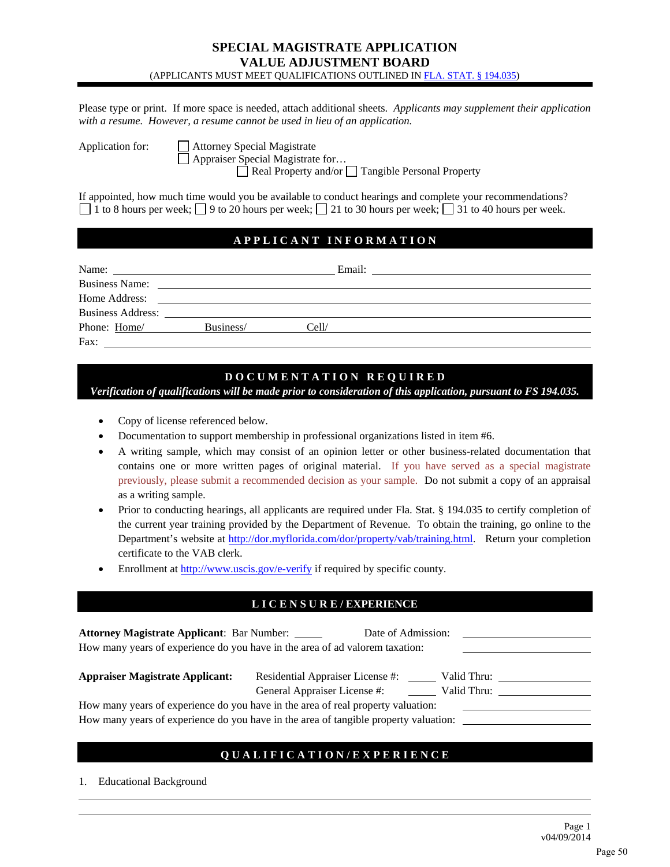#### **SPECIAL MAGISTRATE APPLICATION VALUE ADJUSTMENT BOARD**  (APPLICANTS MUST MEET QUALIFICATIONS OUTLINED IN FLA. STAT. § 194.035)

Please type or print. If more space is needed, attach additional sheets. *Applicants may supplement their application with a resume. However, a resume cannot be used in lieu of an application.* 

Application for: **Attorney Special Magistrate** Appraiser Special Magistrate for…

 $\Box$  Real Property and/or  $\Box$  Tangible Personal Property

If appointed, how much time would you be available to conduct hearings and complete your recommendations? 1 to 8 hours per week;  $\Box$  9 to 20 hours per week;  $\Box$  21 to 30 hours per week;  $\Box$  31 to 40 hours per week.

#### **A P P L I C A N T I N F O R M A T I O N**

| Name:                    | the control of the control of the control of the control of the control of the control of | Email:                                                                                                                |  |
|--------------------------|-------------------------------------------------------------------------------------------|-----------------------------------------------------------------------------------------------------------------------|--|
| <b>Business Name:</b>    |                                                                                           | <u>and the state of the state of the state of the state of the state of the state of the state of the state of th</u> |  |
| Home Address:            |                                                                                           | <u> 1989 - John Stone, Amerikaansk politiker (</u> † 1920)                                                            |  |
| <b>Business Address:</b> |                                                                                           | <u> 1989 - John Stone, Amerikaansk politiker († 1989)</u>                                                             |  |
| Phone: Home/             | Business/                                                                                 | Cell/                                                                                                                 |  |
| Fax:                     |                                                                                           |                                                                                                                       |  |

#### **D O C U M E N T A T I O N R E Q U I R E D**

*Verification of qualifications will be made prior to consideration of this application, pursuant to FS 194.035.* 

- Copy of license referenced below.
- Documentation to support membership in professional organizations listed in item #6.
- A writing sample, which may consist of an opinion letter or other business-related documentation that contains one or more written pages of original material. If you have served as a special magistrate previously, please submit a recommended decision as your sample. Do not submit a copy of an appraisal as a writing sample.
- Prior to conducting hearings, all applicants are required under Fla. Stat. § 194.035 to certify completion of the current year training provided by the Department of Revenue. To obtain the training, go online to the Department's website at http://dor.myflorida.com/dor/property/vab/training.html. Return your completion certificate to the VAB clerk.
- Enrollment at http://www.uscis.gov/e-verify if required by specific county.

#### **L I C E N S U R E / EXPERIENCE**

| <b>Attorney Magistrate Applicant: Bar Number:</b><br>Date of Admission:<br>How many years of experience do you have in the area of ad valorem taxation: |                                                                                                |  |  |  |
|---------------------------------------------------------------------------------------------------------------------------------------------------------|------------------------------------------------------------------------------------------------|--|--|--|
| <b>Appraiser Magistrate Applicant:</b>                                                                                                                  | Residential Appraiser License #:<br>Valid Thru:<br>General Appraiser License #:<br>Valid Thru: |  |  |  |
|                                                                                                                                                         | How many years of experience do you have in the area of real property valuation:               |  |  |  |
|                                                                                                                                                         | How many years of experience do you have in the area of tangible property valuation:           |  |  |  |

#### **Q U A L I F I C A T I O N / E X P E R I E N C E**

1. Educational Background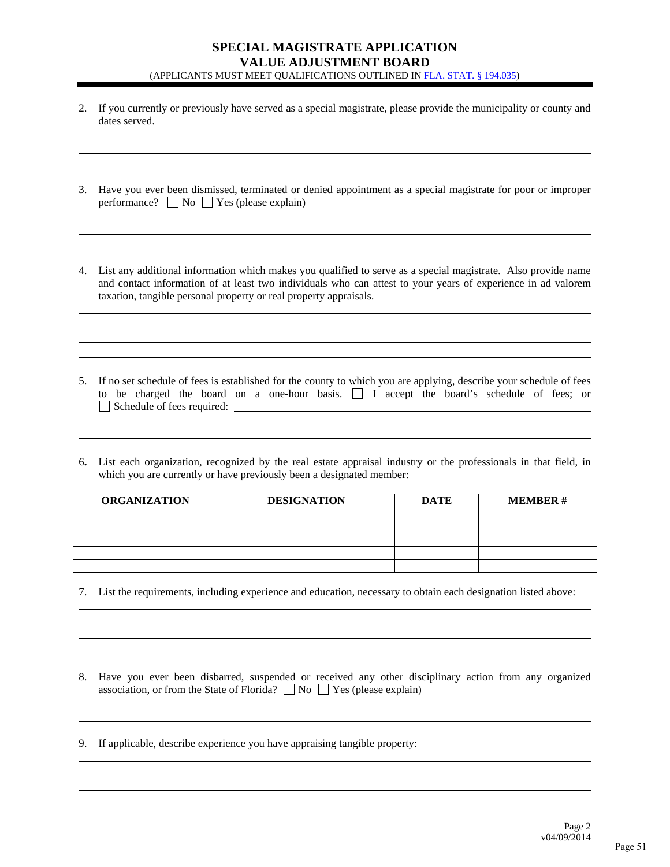#### **SPECIAL MAGISTRATE APPLICATION VALUE ADJUSTMENT BOARD**  (APPLICANTS MUST MEET QUALIFICATIONS OUTLINED IN FLA. STAT. § 194.035)

2. If you currently or previously have served as a special magistrate, please provide the municipality or county and dates served.

| 3. Have you ever been dismissed, terminated or denied appointment as a special magistrate for poor or improper |
|----------------------------------------------------------------------------------------------------------------|
| performance? $\Box$ No $\Box$ Yes (please explain)                                                             |

4. List any additional information which makes you qualified to serve as a special magistrate. Also provide name and contact information of at least two individuals who can attest to your years of experience in ad valorem taxation, tangible personal property or real property appraisals.

5. If no set schedule of fees is established for the county to which you are applying, describe your schedule of fees to be charged the board on a one-hour basis. I accept the board's schedule of fees; or Schedule of fees required:

6**.** List each organization, recognized by the real estate appraisal industry or the professionals in that field, in which you are currently or have previously been a designated member:

| <b>ORGANIZATION</b> | <b>DESIGNATION</b> | <b>DATE</b> | <b>MEMBER#</b> |
|---------------------|--------------------|-------------|----------------|
|                     |                    |             |                |
|                     |                    |             |                |
|                     |                    |             |                |
|                     |                    |             |                |
|                     |                    |             |                |

7. List the requirements, including experience and education, necessary to obtain each designation listed above:

8. Have you ever been disbarred, suspended or received any other disciplinary action from any organized association, or from the State of Florida?  $\Box$  No  $\Box$  Yes (please explain)

9. If applicable, describe experience you have appraising tangible property: